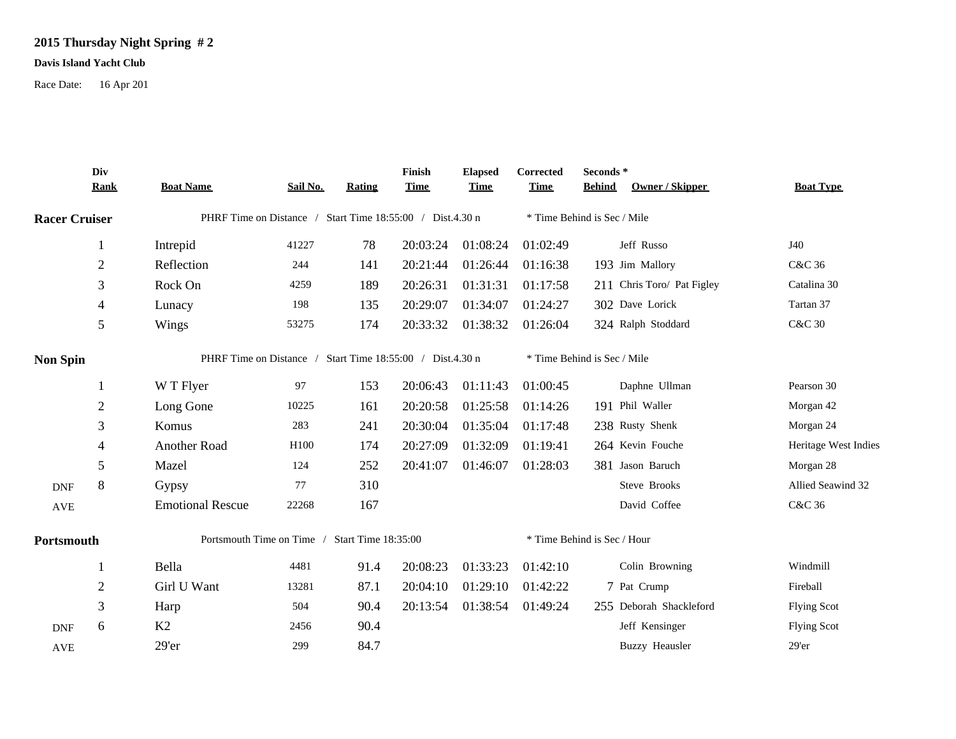## **2015 Thursday Night Spring # 2**

## **Davis Island Yacht Club**

Race Date: 16 Apr 201

|                      | Div<br><b>Rank</b> | <b>Boat Name</b>                                          | Sail No. | Rating | Finish<br><b>Time</b> | <b>Elapsed</b><br><b>Time</b> | Corrected<br><b>Time</b>    | Seconds*<br>Owner / Skipper<br><b>Behind</b> | <b>Boat Type</b>     |  |  |
|----------------------|--------------------|-----------------------------------------------------------|----------|--------|-----------------------|-------------------------------|-----------------------------|----------------------------------------------|----------------------|--|--|
| <b>Racer Cruiser</b> |                    | PHRF Time on Distance / Start Time 18:55:00 / Dist.4.30 n |          |        |                       |                               | * Time Behind is Sec / Mile |                                              |                      |  |  |
|                      | 1                  | Intrepid                                                  | 41227    | 78     | 20:03:24              | 01:08:24                      | 01:02:49                    | Jeff Russo                                   | J40                  |  |  |
|                      | $\mathbf{2}$       | Reflection                                                | 244      | 141    | 20:21:44              | 01:26:44                      | 01:16:38                    | 193 Jim Mallory                              | C&C 36               |  |  |
|                      | 3                  | Rock On                                                   | 4259     | 189    | 20:26:31              | 01:31:31                      | 01:17:58                    | 211 Chris Toro/ Pat Figley                   | Catalina 30          |  |  |
|                      | $\overline{4}$     | Lunacy                                                    | 198      | 135    | 20:29:07              | 01:34:07                      | 01:24:27                    | 302 Dave Lorick                              | Tartan 37            |  |  |
|                      | 5                  | Wings                                                     | 53275    | 174    | 20:33:32              | 01:38:32                      | 01:26:04                    | 324 Ralph Stoddard                           | <b>C&amp;C 30</b>    |  |  |
| <b>Non Spin</b>      |                    | PHRF Time on Distance / Start Time 18:55:00 / Dist.4.30 n |          |        |                       |                               |                             | * Time Behind is Sec / Mile                  |                      |  |  |
|                      | 1                  | W T Flyer                                                 | 97       | 153    | 20:06:43              | 01:11:43                      | 01:00:45                    | Daphne Ullman                                | Pearson 30           |  |  |
|                      | $\overline{2}$     | Long Gone                                                 | 10225    | 161    | 20:20:58              | 01:25:58                      | 01:14:26                    | 191 Phil Waller                              | Morgan 42            |  |  |
|                      | 3                  | Komus                                                     | 283      | 241    | 20:30:04              | 01:35:04                      | 01:17:48                    | 238 Rusty Shenk                              | Morgan 24            |  |  |
|                      | $\overline{4}$     | Another Road                                              | H100     | 174    | 20:27:09              | 01:32:09                      | 01:19:41                    | 264 Kevin Fouche                             | Heritage West Indies |  |  |
|                      | 5                  | Mazel                                                     | 124      | 252    | 20:41:07              | 01:46:07                      | 01:28:03                    | 381 Jason Baruch                             | Morgan 28            |  |  |
| <b>DNF</b>           | $\,8\,$            | Gypsy                                                     | 77       | 310    |                       |                               |                             | Steve Brooks                                 | Allied Seawind 32    |  |  |
| <b>AVE</b>           |                    | <b>Emotional Rescue</b>                                   | 22268    | 167    |                       |                               |                             | David Coffee                                 | C&C 36               |  |  |
| Portsmouth           |                    | Portsmouth Time on Time / Start Time 18:35:00             |          |        |                       |                               |                             | * Time Behind is Sec / Hour                  |                      |  |  |
|                      | -1                 | Bella                                                     | 4481     | 91.4   | 20:08:23              | 01:33:23                      | 01:42:10                    | Colin Browning                               | Windmill             |  |  |
|                      | $\overline{2}$     | Girl U Want                                               | 13281    | 87.1   | 20:04:10              | 01:29:10                      | 01:42:22                    | 7 Pat Crump                                  | Fireball             |  |  |
|                      | 3                  | Harp                                                      | 504      | 90.4   | 20:13:54              | 01:38:54                      | 01:49:24                    | 255 Deborah Shackleford                      | <b>Flying Scot</b>   |  |  |
| <b>DNF</b>           | 6                  | K2                                                        | 2456     | 90.4   |                       |                               |                             | Jeff Kensinger                               | <b>Flying Scot</b>   |  |  |
| <b>AVE</b>           |                    | 29'er                                                     | 299      | 84.7   |                       |                               |                             | <b>Buzzy Heausler</b>                        | 29'er                |  |  |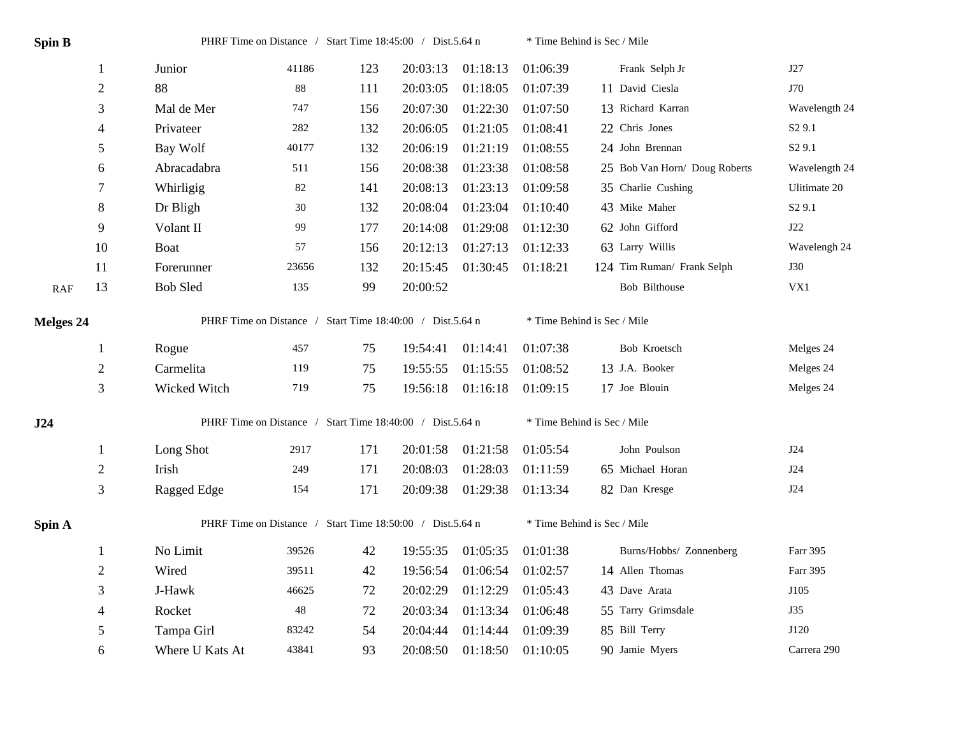| <b>Spin B</b>    |                          | PHRF Time on Distance / Start Time 18:45:00 / Dist.5.64 n |       |     |          |          | * Time Behind is Sec / Mile |                               |                    |  |  |
|------------------|--------------------------|-----------------------------------------------------------|-------|-----|----------|----------|-----------------------------|-------------------------------|--------------------|--|--|
|                  | 1                        | Junior                                                    | 41186 | 123 | 20:03:13 | 01:18:13 | 01:06:39                    | Frank Selph Jr                | J27                |  |  |
|                  | $\overline{2}$           | 88                                                        | 88    | 111 | 20:03:05 | 01:18:05 | 01:07:39                    | 11 David Ciesla               | J70                |  |  |
|                  | 3                        | Mal de Mer                                                | 747   | 156 | 20:07:30 | 01:22:30 | 01:07:50                    | 13 Richard Karran             | Wavelength 24      |  |  |
|                  | $\overline{\mathcal{A}}$ | Privateer                                                 | 282   | 132 | 20:06:05 | 01:21:05 | 01:08:41                    | 22 Chris Jones                | S <sub>2</sub> 9.1 |  |  |
|                  | 5                        | Bay Wolf                                                  | 40177 | 132 | 20:06:19 | 01:21:19 | 01:08:55                    | 24 John Brennan               | S <sub>2</sub> 9.1 |  |  |
|                  | 6                        | Abracadabra                                               | 511   | 156 | 20:08:38 | 01:23:38 | 01:08:58                    | 25 Bob Van Horn/ Doug Roberts | Wavelength 24      |  |  |
|                  | 7                        | Whirligig                                                 | 82    | 141 | 20:08:13 | 01:23:13 | 01:09:58                    | 35 Charlie Cushing            | Ulitimate 20       |  |  |
|                  | $8\,$                    | Dr Bligh                                                  | 30    | 132 | 20:08:04 | 01:23:04 | 01:10:40                    | 43 Mike Maher                 | S <sub>2</sub> 9.1 |  |  |
|                  | 9                        | Volant II                                                 | 99    | 177 | 20:14:08 | 01:29:08 | 01:12:30                    | 62 John Gifford               | J22                |  |  |
|                  | 10                       | Boat                                                      | 57    | 156 | 20:12:13 | 01:27:13 | 01:12:33                    | 63 Larry Willis               | Wavelengh 24       |  |  |
|                  | 11                       | Forerunner                                                | 23656 | 132 | 20:15:45 | 01:30:45 | 01:18:21                    | 124 Tim Ruman/ Frank Selph    | <b>J30</b>         |  |  |
| RAF              | 13                       | <b>Bob Sled</b>                                           | 135   | 99  | 20:00:52 |          |                             | Bob Bilthouse                 | VX1                |  |  |
| <b>Melges 24</b> |                          | PHRF Time on Distance / Start Time 18:40:00 / Dist.5.64 n |       |     |          |          | * Time Behind is Sec / Mile |                               |                    |  |  |
|                  | $\mathbf{1}$             | Rogue                                                     | 457   | 75  | 19:54:41 | 01:14:41 | 01:07:38                    | Bob Kroetsch                  | Melges 24          |  |  |
|                  | $\overline{2}$           | Carmelita                                                 | 119   | 75  | 19:55:55 | 01:15:55 | 01:08:52                    | 13 J.A. Booker                | Melges 24          |  |  |
|                  | 3                        | Wicked Witch                                              | 719   | 75  | 19:56:18 | 01:16:18 | 01:09:15                    | 17 Joe Blouin                 | Melges 24          |  |  |
| J24              |                          | PHRF Time on Distance / Start Time 18:40:00 / Dist.5.64 n |       |     |          |          | * Time Behind is Sec / Mile |                               |                    |  |  |
|                  | 1                        | Long Shot                                                 | 2917  | 171 | 20:01:58 | 01:21:58 | 01:05:54                    | John Poulson                  | J24                |  |  |
|                  | $\overline{2}$           | Irish                                                     | 249   | 171 | 20:08:03 | 01:28:03 | 01:11:59                    | 65 Michael Horan              | J24                |  |  |
|                  | 3                        | Ragged Edge                                               | 154   | 171 | 20:09:38 | 01:29:38 | 01:13:34                    | 82 Dan Kresge                 | J24                |  |  |
| Spin A           |                          | PHRF Time on Distance / Start Time 18:50:00 / Dist.5.64 n |       |     |          |          |                             | * Time Behind is Sec / Mile   |                    |  |  |
|                  | 1                        | No Limit                                                  | 39526 | 42  | 19:55:35 | 01:05:35 | 01:01:38                    | Burns/Hobbs/ Zonnenberg       | Farr 395           |  |  |
|                  | $\overline{2}$           | Wired                                                     | 39511 | 42  | 19:56:54 | 01:06:54 | 01:02:57                    | 14 Allen Thomas               | Farr 395           |  |  |
|                  | 3                        | J-Hawk                                                    | 46625 | 72  | 20:02:29 | 01:12:29 | 01:05:43                    | 43 Dave Arata                 | J105               |  |  |
|                  | 4                        | Rocket                                                    | 48    | 72  | 20:03:34 | 01:13:34 | 01:06:48                    | 55 Tarry Grimsdale            | J35                |  |  |
|                  | 5                        | Tampa Girl                                                | 83242 | 54  | 20:04:44 | 01:14:44 | 01:09:39                    | 85 Bill Terry                 | J120               |  |  |
|                  | 6                        | Where U Kats At                                           | 43841 | 93  | 20:08:50 | 01:18:50 | 01:10:05                    | 90 Jamie Myers                | Carrera 290        |  |  |